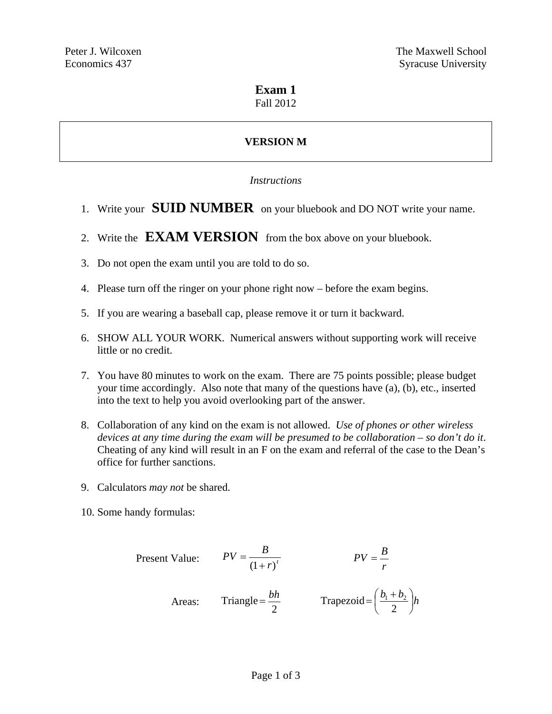# **Exam 1**

### Fall 2012

# **VERSION M**

#### *Instructions*

- 1. Write your **SUID NUMBER** on your bluebook and DO NOT write your name.
- 2. Write the **EXAM VERSION** from the box above on your bluebook.
- 3. Do not open the exam until you are told to do so.
- 4. Please turn off the ringer on your phone right now before the exam begins.
- 5. If you are wearing a baseball cap, please remove it or turn it backward.
- 6. SHOW ALL YOUR WORK. Numerical answers without supporting work will receive little or no credit.
- 7. You have 80 minutes to work on the exam. There are 75 points possible; please budget your time accordingly. Also note that many of the questions have (a), (b), etc., inserted into the text to help you avoid overlooking part of the answer.
- 8. Collaboration of any kind on the exam is not allowed. *Use of phones or other wireless devices at any time during the exam will be presumed to be collaboration – so don't do it*. Cheating of any kind will result in an F on the exam and referral of the case to the Dean's office for further sanctions.
- 9. Calculators *may not* be shared.
- 10. Some handy formulas:

Present Value: 
$$
PV = \frac{B}{(1+r)^t}
$$
  $PV = \frac{B}{r}$   
Areas: Triangle =  $\frac{bh}{2}$  Trapezoid =  $(\frac{b_1 + b_2}{2})h$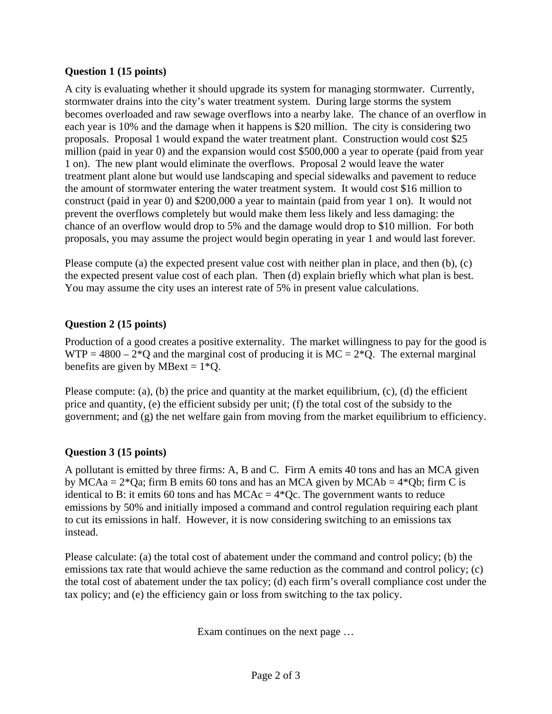#### **Question 1 (15 points)**

A city is evaluating whether it should upgrade its system for managing stormwater. Currently, stormwater drains into the city's water treatment system. During large storms the system becomes overloaded and raw sewage overflows into a nearby lake. The chance of an overflow in each year is 10% and the damage when it happens is \$20 million. The city is considering two proposals. Proposal 1 would expand the water treatment plant. Construction would cost \$25 million (paid in year 0) and the expansion would cost \$500,000 a year to operate (paid from year 1 on). The new plant would eliminate the overflows. Proposal 2 would leave the water treatment plant alone but would use landscaping and special sidewalks and pavement to reduce the amount of stormwater entering the water treatment system. It would cost \$16 million to construct (paid in year 0) and \$200,000 a year to maintain (paid from year 1 on). It would not prevent the overflows completely but would make them less likely and less damaging: the chance of an overflow would drop to 5% and the damage would drop to \$10 million. For both proposals, you may assume the project would begin operating in year 1 and would last forever.

Please compute (a) the expected present value cost with neither plan in place, and then (b), (c) the expected present value cost of each plan. Then (d) explain briefly which what plan is best. You may assume the city uses an interest rate of 5% in present value calculations.

# **Question 2 (15 points)**

Production of a good creates a positive externality. The market willingness to pay for the good is WTP = 4800 –  $2*Q$  and the marginal cost of producing it is MC =  $2*Q$ . The external marginal benefits are given by MBext =  $1*Q$ .

Please compute: (a), (b) the price and quantity at the market equilibrium, (c), (d) the efficient price and quantity, (e) the efficient subsidy per unit; (f) the total cost of the subsidy to the government; and (g) the net welfare gain from moving from the market equilibrium to efficiency.

#### **Question 3 (15 points)**

A pollutant is emitted by three firms: A, B and C. Firm A emits 40 tons and has an MCA given by MCAa =  $2*Qa$ ; firm B emits 60 tons and has an MCA given by MCAb =  $4*Qb$ ; firm C is identical to B: it emits 60 tons and has  $MCAc = 4*Qc$ . The government wants to reduce emissions by 50% and initially imposed a command and control regulation requiring each plant to cut its emissions in half. However, it is now considering switching to an emissions tax instead.

Please calculate: (a) the total cost of abatement under the command and control policy; (b) the emissions tax rate that would achieve the same reduction as the command and control policy; (c) the total cost of abatement under the tax policy; (d) each firm's overall compliance cost under the tax policy; and (e) the efficiency gain or loss from switching to the tax policy.

Exam continues on the next page …